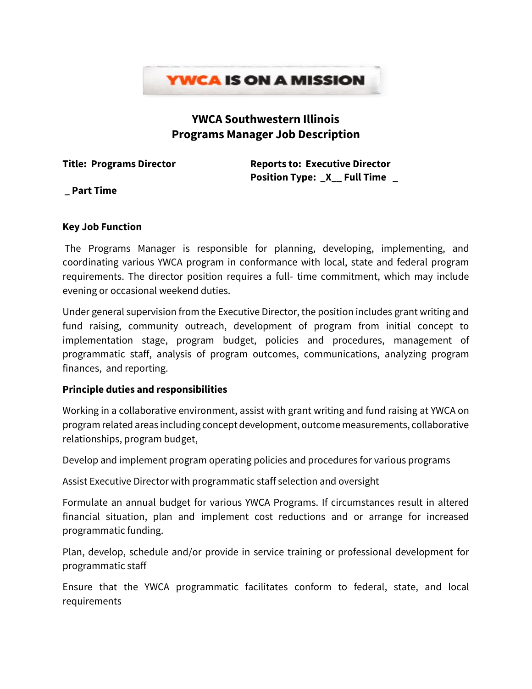

# **YWCA Southwestern Illinois Programs Manager Job Description**

**Title: Programs Director Reports to: Executive Director Position Type: \_X\_\_ Full Time \_**

**\_ Part Time**

#### **Key Job Function**

The Programs Manager is responsible for planning, developing, implementing, and coordinating various YWCA program in conformance with local, state and federal program requirements. The director position requires a full- time commitment, which may include evening or occasional weekend duties.

Under general supervision from the Executive Director, the position includes grant writing and fund raising, community outreach, development of program from initial concept to implementation stage, program budget, policies and procedures, management of programmatic staff, analysis of program outcomes, communications, analyzing program finances, and reporting.

## **Principle duties and responsibilities**

Working in a collaborative environment, assist with grant writing and fund raising at YWCA on program related areas including concept development, outcome measurements, collaborative relationships, program budget,

Develop and implement program operating policies and procedures for various programs

Assist Executive Director with programmatic staff selection and oversight

Formulate an annual budget for various YWCA Programs. If circumstances result in altered financial situation, plan and implement cost reductions and or arrange for increased programmatic funding.

Plan, develop, schedule and/or provide in service training or professional development for programmatic staff

Ensure that the YWCA programmatic facilitates conform to federal, state, and local requirements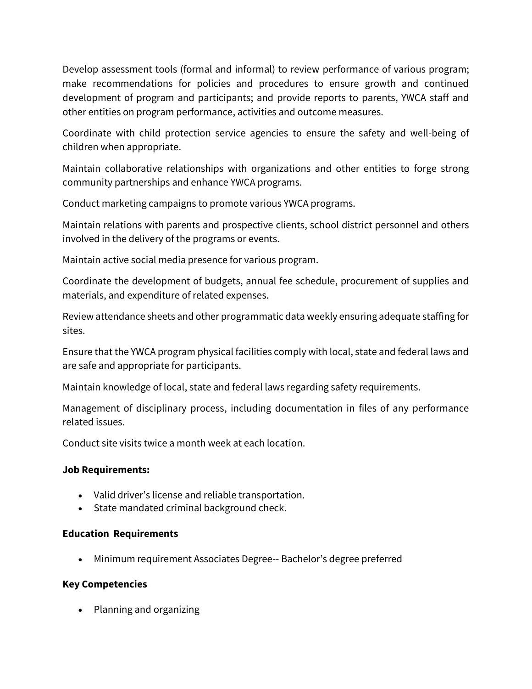Develop assessment tools (formal and informal) to review performance of various program; make recommendations for policies and procedures to ensure growth and continued development of program and participants; and provide reports to parents, YWCA staff and other entities on program performance, activities and outcome measures.

Coordinate with child protection service agencies to ensure the safety and well-being of children when appropriate.

Maintain collaborative relationships with organizations and other entities to forge strong community partnerships and enhance YWCA programs.

Conduct marketing campaigns to promote various YWCA programs.

Maintain relations with parents and prospective clients, school district personnel and others involved in the delivery of the programs or events.

Maintain active social media presence for various program.

Coordinate the development of budgets, annual fee schedule, procurement of supplies and materials, and expenditure of related expenses.

Review attendance sheets and other programmatic data weeklyensuring adequate staffing for sites.

Ensure that the YWCA program physical facilities comply with local, state and federal laws and are safe and appropriate for participants.

Maintain knowledge of local, state and federal laws regarding safety requirements.

Management of disciplinary process, including documentation in files of any performance related issues.

Conduct site visits twice a month week at each location.

#### **Job Requirements:**

- Valid driver's license and reliable transportation.
- State mandated criminal background check.

#### **Education Requirements**

• Minimum requirement Associates Degree-- Bachelor's degree preferred

#### **Key Competencies**

• Planning and organizing